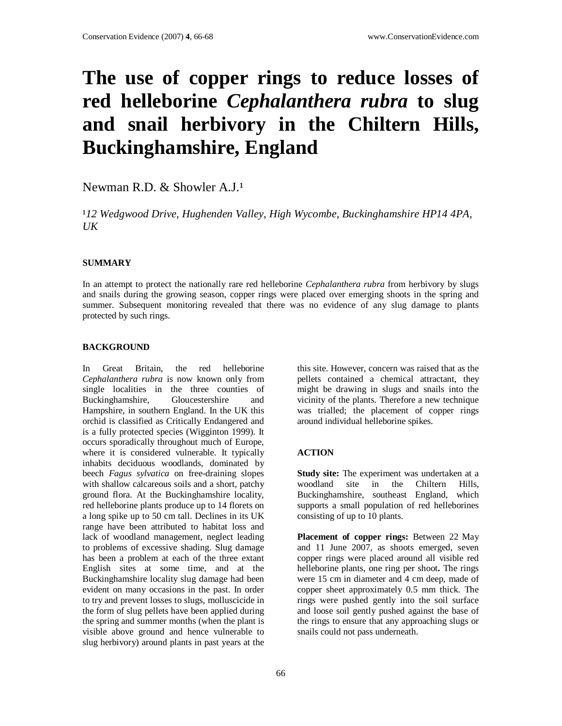# **The use of copper rings to reduce losses of red helleborine** *Cephalanthera rubra* **to slug and snail herbivory in the Chiltern Hills, Buckinghamshire, England**

Newman R.D. & Showler A.J.<sup>1</sup>

<sup>1</sup>12 Wedgwood Drive, Hughenden Valley, High Wycombe, Buckinghamshire HP14 4PA, *UK*

#### **SUMMARY**

In an attempt to protect the nationally rare red helleborine *Cephalanthera rubra* from herbivory by slugs and snails during the growing season, copper rings were placed over emerging shoots in the spring and summer. Subsequent monitoring revealed that there was no evidence of any slug damage to plants protected by such rings.

#### **BACKGROUND**

In Great Britain, the red helleborine *Cephalanthera rubra* is now known only from single localities in the three counties of Buckinghamshire, Gloucestershire and Hampshire, in southern England. In the UK this orchid is classified as Critically Endangered and is a fully protected species (Wigginton 1999). It occurs sporadically throughout much of Europe, where it is considered vulnerable. It typically inhabits deciduous woodlands, dominated by beech *Fagus sylvatica* on free-draining slopes with shallow calcareous soils and a short, patchy ground flora. At the Buckinghamshire locality, red helleborine plants produce up to 14 florets on a long spike up to 50 cm tall. Declines in its UK range have been attributed to habitat loss and lack of woodland management, neglect leading to problems of excessive shading. Slug damage has been a problem at each of the three extant English sites at some time, and at the Buckinghamshire locality slug damage had been evident on many occasions in the past. In order to try and prevent losses to slugs, molluscicide in the form of slug pellets have been applied during the spring and summer months (when the plant is visible above ground and hence vulnerable to slug herbivory) around plants in past years at the

this site. However, concern was raised that as the pellets contained a chemical attractant, they might be drawing in slugs and snails into the vicinity of the plants. Therefore a new technique was trialled; the placement of copper rings around individual helleborine spikes.

#### **ACTION**

**Study site:** The experiment was undertaken at a woodland site in the Chiltern Hills, Buckinghamshire, southeast England, which supports a small population of red helleborines consisting of up to 10 plants.

**Placement of copper rings:** Between 22 May and 11 June 2007, as shoots emerged, seven copper rings were placed around all visible red helleborine plants, one ring per shoot**.** The rings were 15 cm in diameter and 4 cm deep, made of copper sheet approximately 0.5 mm thick. The rings were pushed gently into the soil surface and loose soil gently pushed against the base of the rings to ensure that any approaching slugs or snails could not pass underneath.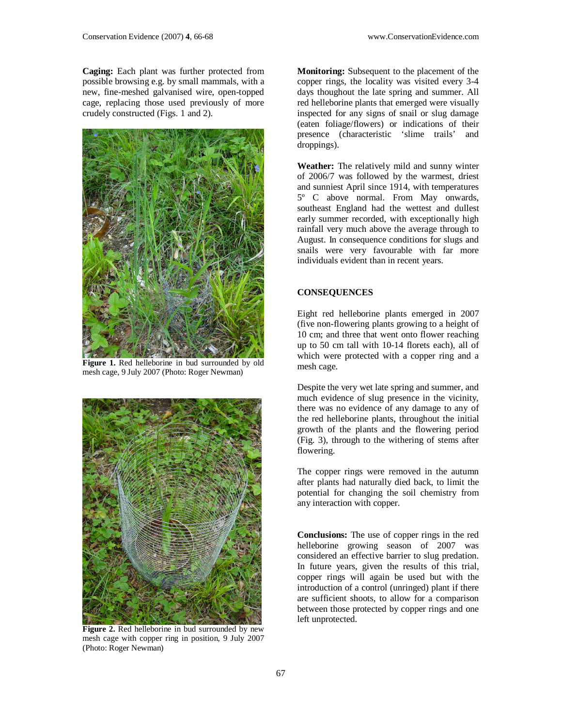**Caging:** Each plant was further protected from possible browsing e.g. by small mammals, with a new, fine-meshed galvanised wire, open-topped cage, replacing those used previously of more crudely constructed (Figs. 1 and 2).



**Figure 1.** Red helleborine in bud surrounded by old mesh cage, 9 July 2007 (Photo: Roger Newman)



**Figure 2.** Red helleborine in bud surrounded by new mesh cage with copper ring in position, 9 July 2007 (Photo: Roger Newman)

**Monitoring:** Subsequent to the placement of the copper rings, the locality was visited every 3-4 days thoughout the late spring and summer. All red helleborine plants that emerged were visually inspected for any signs of snail or slug damage (eaten foliage/flowers) or indications of their presence (characteristic 'slime trails' and droppings).

**Weather:** The relatively mild and sunny winter of 2006/7 was followed by the warmest, driest and sunniest April since 1914, with temperatures 5º C above normal. From May onwards, southeast England had the wettest and dullest early summer recorded, with exceptionally high rainfall very much above the average through to August. In consequence conditions for slugs and snails were very favourable with far more individuals evident than in recent years.

### **CONSEQUENCES**

Eight red helleborine plants emerged in 2007 (five non-flowering plants growing to a height of 10 cm; and three that went onto flower reaching up to 50 cm tall with 10-14 florets each), all of which were protected with a copper ring and a mesh cage.

Despite the very wet late spring and summer, and much evidence of slug presence in the vicinity, there was no evidence of any damage to any of the red helleborine plants, throughout the initial growth of the plants and the flowering period (Fig. 3), through to the withering of stems after flowering.

The copper rings were removed in the autumn after plants had naturally died back, to limit the potential for changing the soil chemistry from any interaction with copper.

**Conclusions:** The use of copper rings in the red helleborine growing season of 2007 was considered an effective barrier to slug predation. In future years, given the results of this trial, copper rings will again be used but with the introduction of a control (unringed) plant if there are sufficient shoots, to allow for a comparison between those protected by copper rings and one left unprotected.